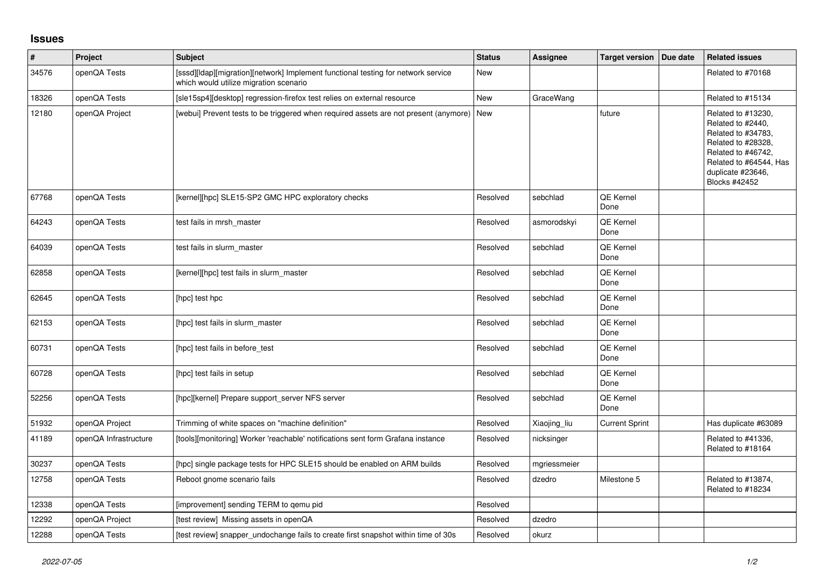## **Issues**

| $\vert$ # | Project               | <b>Subject</b>                                                                                                              | <b>Status</b> | <b>Assignee</b> | <b>Target version</b>    | Due date | <b>Related issues</b>                                                                                                                                                     |
|-----------|-----------------------|-----------------------------------------------------------------------------------------------------------------------------|---------------|-----------------|--------------------------|----------|---------------------------------------------------------------------------------------------------------------------------------------------------------------------------|
| 34576     | openQA Tests          | [sssd][Idap][migration][network] Implement functional testing for network service<br>which would utilize migration scenario | New           |                 |                          |          | Related to #70168                                                                                                                                                         |
| 18326     | openQA Tests          | [sle15sp4][desktop] regression-firefox test relies on external resource                                                     | <b>New</b>    | GraceWang       |                          |          | Related to #15134                                                                                                                                                         |
| 12180     | openQA Project        | [webui] Prevent tests to be triggered when required assets are not present (anymore) New                                    |               |                 | future                   |          | Related to #13230,<br>Related to #2440,<br>Related to #34783,<br>Related to #28328,<br>Related to #46742,<br>Related to #64544, Has<br>duplicate #23646,<br>Blocks #42452 |
| 67768     | openQA Tests          | [kernel][hpc] SLE15-SP2 GMC HPC exploratory checks                                                                          | Resolved      | sebchlad        | QE Kernel<br>Done        |          |                                                                                                                                                                           |
| 64243     | openQA Tests          | test fails in mrsh master                                                                                                   | Resolved      | asmorodskyi     | <b>QE Kernel</b><br>Done |          |                                                                                                                                                                           |
| 64039     | openQA Tests          | test fails in slurm master                                                                                                  | Resolved      | sebchlad        | <b>QE Kernel</b><br>Done |          |                                                                                                                                                                           |
| 62858     | openQA Tests          | [kernel][hpc] test fails in slurm_master                                                                                    | Resolved      | sebchlad        | QE Kernel<br>Done        |          |                                                                                                                                                                           |
| 62645     | openQA Tests          | [hpc] test hpc                                                                                                              | Resolved      | sebchlad        | QE Kernel<br>Done        |          |                                                                                                                                                                           |
| 62153     | openQA Tests          | [hpc] test fails in slurm master                                                                                            | Resolved      | sebchlad        | QE Kernel<br>Done        |          |                                                                                                                                                                           |
| 60731     | openQA Tests          | [hpc] test fails in before test                                                                                             | Resolved      | sebchlad        | QE Kernel<br>Done        |          |                                                                                                                                                                           |
| 60728     | openQA Tests          | [hpc] test fails in setup                                                                                                   | Resolved      | sebchlad        | QE Kernel<br>Done        |          |                                                                                                                                                                           |
| 52256     | openQA Tests          | [hpc][kernel] Prepare support_server NFS server                                                                             | Resolved      | sebchlad        | <b>QE Kernel</b><br>Done |          |                                                                                                                                                                           |
| 51932     | openQA Project        | Trimming of white spaces on "machine definition"                                                                            | Resolved      | Xiaojing_liu    | <b>Current Sprint</b>    |          | Has duplicate #63089                                                                                                                                                      |
| 41189     | openQA Infrastructure | [tools][monitoring] Worker 'reachable' notifications sent form Grafana instance                                             | Resolved      | nicksinger      |                          |          | Related to #41336,<br>Related to #18164                                                                                                                                   |
| 30237     | openQA Tests          | [hpc] single package tests for HPC SLE15 should be enabled on ARM builds                                                    | Resolved      | mgriessmeier    |                          |          |                                                                                                                                                                           |
| 12758     | openQA Tests          | Reboot gnome scenario fails                                                                                                 | Resolved      | dzedro          | Milestone 5              |          | Related to #13874,<br>Related to #18234                                                                                                                                   |
| 12338     | openQA Tests          | [improvement] sending TERM to gemu pid                                                                                      | Resolved      |                 |                          |          |                                                                                                                                                                           |
| 12292     | openQA Project        | [test review] Missing assets in openQA                                                                                      | Resolved      | dzedro          |                          |          |                                                                                                                                                                           |
| 12288     | openQA Tests          | [test review] snapper_undochange fails to create first snapshot within time of 30s                                          | Resolved      | okurz           |                          |          |                                                                                                                                                                           |